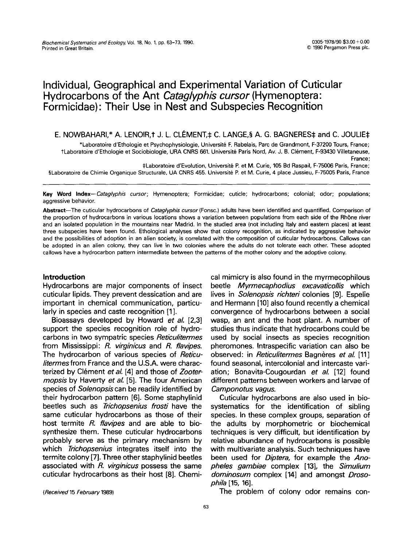# **Individual, Geographical and Experimental Variation of Cuticular Hydrocarbons of the Ant** *Cataglyphis cursor* **(Hymenoptera: Formicidae)" Their Use in Nest and Subspecies Recognition**

E. NOWBAHARI,\* A. LENOIR, † J. L. CLÉMENT, $\ddagger$  C. LANGE,§ A. G. BAGNERES $\ddagger$  and C. JOULIE $\ddagger$ 

\*Laboratoire d'Ethologie et Psychophysiologie, Universit@ F. Rabelais, Parc de Grandmont, F-37200 Tours, France; tLaboratoire d'Ethologie et Sociobiologie, URA CNRS 661. Université Paris Nord, Av. J. B. Clément, F-93430 Villetaneuse, France;

:~Laboratoire d'Evolution, Universit~ P. et M. Curie, 105 Bd Raspail, F-75006 Paris, France; §Laboratoire de Chimie Organique Structurale, UA CNRS 455. Université P. et M. Curie, 4 place Jussieu, F-75005 Paris, France

Key Word *Index--Cataglyphis cursor;* Hymenoptera; Formicidae; cuticle; hydrocarbons; colonial; odor; populations; aggressive behavior.

Abstract--The cuticular hydrocarbons of *Cataglyphis cursor* (Fonsc.) adults have been identified and quantified. Comparison of the proportion of hydrocarbons in various locations shows a variation between populations from each side of the Rh6ne river and an isolated population in the mountains near Madrid. In the studied area (not including Italy and eastern places) at least three subspecies have been found. Ethological analyses show that colony recognition, as indicated by aggressive behavior and the possibilities of adoption in an alien society, is correlated with the composition of cuticular hydrocarbons. Callows can be adopted in an alien colony, they can live in two colonies where the adults do not tolerate each other. These adopted callows have a hydrocarbon pattern intermediate between the patterns of the mother colony and the adoptive colony.

# **Introduction**

Hydrocarbons are major components of insect cuticular lipids. They prevent dessication and are important in chemical communication, particularly in species and caste recognition [1].

Bioassays developed by Howard *et al.* [2,3] support the species recognition role of hydrocarbons in two sympatric species *Reticulitermes*  from Mississippi: *R. virginicus* and *R. flavipes.*  The hydrocarbon of various species of *Reticuliterrnes* from France and the U.S.A. were characterized by Clément *et al.* [4] and those of *Zootermopsis* by Haverty *et al.* [5]. The four American species of *Solenopsis* can be readily identified by their hydrocarbon pattern [6]. Some staphylinid beetles such as *Trichopsenius frosti* have the same cuticular hydrocarbons as those of their host termite *R. flavipes* and are able to biosynthesize them. These cuticular hydrocarbons probably serve as the primary mechanism by which *Trichopsenius* integrates itself into the termite colony [7]. Three other staphylinid beetles associated with *R. virginicus* possess the same cuticular hydrocarbons as their host [8]. Chemical mimicry is also found in the myrmecophilous beetle *Myrmecaphodius excavaticollis* which lives in *Solenopsis richteri* colonies [9]. Espelie and Hermann [10] also found recently a chemical convergence of hydrocarbons between a social wasp, an ant and the host plant. A number of studies thus indicate that hydrocarbons could be used by social insects as species recognition pheromones. Intraspecific variation can also be observed: in *Reticulitermes* Bagnères *et al.* [11] found seasonal, intercolonial and intercaste variation; Bonavita-Cougourdan *et al.* [12] found different patterns between workers and larvae of *Camponotus vagus.* 

Cuticular hydrocarbons are also used in biosystematics for the identification of sibling species. In these complex groups, separation of the adults by morphometric or biochemical techniques is very difficult, but identification by relative abundance of hydrocarbons is possible with multivariate analysis. Such techniques have been used for *Diptera,* for example the *Anopheles gambiae* complex [13], the *Simulium dorninosum* complex [14] and amongst *Drosophila* [15, 16].

*(Received* 15 *February* 1989)

The problem of colony odor remains con-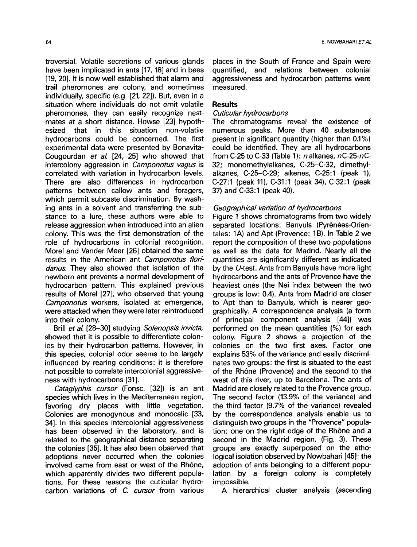troversial. Volatile secretions of various glands have been implicated in ants [17, 18] and in bees [19, 20]. It is now well established that alarm and trail pheromones are colony, and sometimes individually, specific (e.g [21, 22]). But, even in a situation where individuals do not emit volatile pheromones, they can easily recognize nestmates at a short distance. Howse [23] hypothesized that in this situation non-volatile hydrocarbons could be concerned. The first experimental data were presented by Bonavita-Cougourdan *et al.* [24, 25] who showed that intercolony aggression in *Camponotus vagus* is correlated with variation in hydrocarbon levels. There are also differences in hydrocarbon patterns between callow ants and foragers, which permit subcaste discrimination. By washing ants in a solvent and transferring the substance to a lure, these authors were able to release aggression when introduced into an alien colony. This was the first demonstration of the role of hydrocarbons in colonial recognition. Morel and Vander Meer [26] obtained the same results in the American ant *Camponotus floridanus.* They also showed that isolation of the newborn ant prevents a normal development of hydrocarbon pattern. This explained previous results of Morel [27], who observed that young

*Camponotus* workers, isolated at emergence, were attacked when they were later reintroduced into their colony. Brill *et al.* [28-30] studying *Solenopsis invicta,*  showed that it is possible to differentiate colonies by their hydrocarbon patterns. However, in this species, colonial odor seems to be largely influenced by rearing conditions: it is therefore

not possible to correlate intercolonial aggressive-

ness with hydrocarbons [31]. *Cataglyphis cursor* (Fonsc. [32]) is an ant species which lives in the Mediterranean region, favoring dry places with little vegetation. Colonies are monogynous and monocalic [33, 34]. In this species intercolonial aggressiveness has been observed in the laboratory, and is related to the geographical distance separating the colonies [35]. It has also been observed that adoptions never occurred when the colonies involved came from east or west of the Rhône, which apparently divides two different populations. For these reasons the cuticular hydrocarbon variations of *C. cursor* from various

places in the South of France and Spain were quantified, and relations between colonial aggressiveness and hydrocarbon patterns were measured.

# **Results**

## *Cuticular hydrocarbons*

The chromatograms reveal the existence of numerous peaks. More than 40 substances present in significant quantity (higher than 0.1%) could be identified. They are all hydrocarbons from C-25 to C-33 (Table 1):  $n$  alkanes,  $nC-25-nC-$ 32; monomethylalkanes, C-25-C-32, dimethylalkanes, C-25-C-29; alkenes, C-25:1 (peak 1), C-27:1 (peak 11), C-31:1 (peak 34), C-32:1 (peak 37) and C-33:1 (peak 40).

### *Geographical variation of hydrocarbons*

Figure 1 shows chromatograms from two widely separated locations: Banyuls (Pyrénées-Orientales: 1A) and Apt (Provence: 1B). In Table 2 we report the composition of these two populations as well as the data for Madrid. Nearly all the quantities are significantly different as indicated by the U-test. Ants from Banyuls have more light hydrocarbons and the ants of Provence have the heaviest ones (the Nei index between the two groups is low: 0.4). Ants from Madrid are closer to Apt than to Banyuls, which is nearer geographically. A correspondence analysis (a form of principal component analysis [44]) was performed on the mean quantities (%) for each colony. Figure 2 shows a projection of the colonies on the two first axes. Factor one explains 53% of the variance and easily discriminates two groups: the first is situated to the east of the Rhône (Provence) and the second to the west of this river, up to Barcelona. The ants of Madrid are closely related to the Provence group. The second factor (13.9% of the variance) and the third factor (9.7% of the variance) revealed by the correspondence analysis enable us to distinguish two groups in the "Provence" population; one on the right edge of the Rhône and a second in the Madrid region, (Fig. 3). These groups are exactly superposed on the ethological isolation observed by Nowbahari [45]: the adoption of ants belonging to a different population by a foreign colony is completely impossible.

A hierarchical cluster analysis (ascending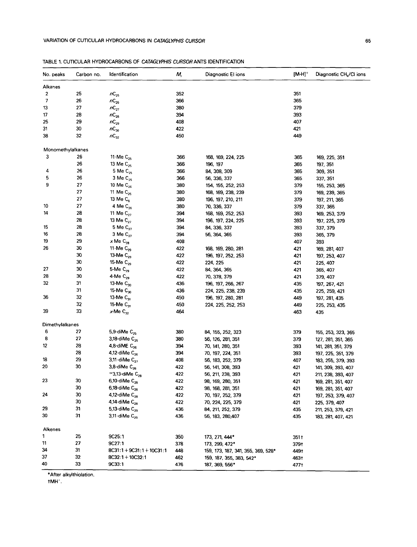| No. peaks                | Carbon no. | Identification                       | М,  | Diagnostic El ions                 | $[M-H]^+$ | Diagnostic CH <sub>4</sub> /CI ions |
|--------------------------|------------|--------------------------------------|-----|------------------------------------|-----------|-------------------------------------|
| Alkanes                  |            |                                      |     |                                    |           |                                     |
| 2                        | 25         | $nC_{25}$                            | 352 |                                    | 351       |                                     |
| $\overline{\phantom{a}}$ | 26         | $nC_{26}$                            | 366 |                                    | 365       |                                     |
| 13                       | 27         | $n\mathsf{C}_{27}$                   | 380 |                                    | 379       |                                     |
| 17                       | 28         | $nC_{28}$                            | 394 |                                    | 393       |                                     |
| 25                       | 29         | $nC_{29}$                            | 408 |                                    | 407       |                                     |
| 31                       | 30         | $nC_{30}$                            | 422 |                                    | 421       |                                     |
| 38                       | 32         | $nC_{32}$                            | 450 |                                    | 449       |                                     |
| Monomethylalkanes        |            |                                      |     |                                    |           |                                     |
| 3                        | 26         | 11-Me $C_{25}$                       | 366 | 168, 169, 224, 225                 | 365       | 169, 225, 351                       |
|                          | 26         | 13 Me C <sub>25</sub>                | 366 | 196, 197                           | 365       | 197, 351                            |
| 4                        | 26         | 5 Me $C_{25}$                        | 366 | 84, 308, 309                       | 365       | 309, 351                            |
| 5                        | 26         | $3$ Me $C_{25}$                      | 366 | 56, 336, 337                       | 365       | 337, 351                            |
| 9                        | 27         | 10 Me C <sub>26</sub>                | 380 | 154, 155, 252, 253                 | 379       | 155, 253, 365                       |
|                          | 27         | 11 Me C <sub>26</sub>                | 380 | 168, 169, 238, 239                 | 379       | 169, 239, 365                       |
|                          | 27         | 13 Me C <sub>6</sub>                 | 380 | 196, 197, 210, 211                 | 379       | 197, 211, 365                       |
| 10                       | 27         | 4 Me C <sub>26</sub>                 | 380 | 70, 336, 337                       | 379       | 337, 365                            |
| 14                       | 28         | 11 Me $C_{27}$                       | 394 | 168, 169, 252, 253                 | 393       | 169, 253, 379                       |
|                          | 28         | 13 Me C <sub>27</sub>                | 334 | 196, 197, 224, 225                 | 393       | 197, 225, 379                       |
| 15                       | 28         | 5 Me $C_{27}$                        | 394 | 84, 336, 337                       | 393       | 337, 379                            |
| 16                       | 28         | 3 Me $C_{22}$                        | 394 | 56, 364, 365                       | 393       | 365, 379                            |
| 19                       | 29         | $x$ Me $C_{28}$                      | 408 |                                    | 407       | 393                                 |
| 26                       | 30         | 11-Me $C_{29}$                       | 422 | 168, 169, 280, 281                 | 421       | 169, 281, 407                       |
|                          | 30         | 13-Me $C_{29}$                       | 422 | 196, 197, 252, 253                 | 421       | 197, 253, 407                       |
|                          | 30         | 15-Me C <sub>29</sub>                | 422 | 224, 225                           | 421       | 225, 407                            |
| 27                       | 30         | 5-Me $C_{29}$                        | 422 | 84, 364, 365                       | 421       | 365, 407                            |
| 28                       | 30         | 4-Me $C_{29}$                        | 422 | 70, 378, 379                       | 421       | 379, 407                            |
| 32                       | 31         | 13-Me C <sub>30</sub>                | 436 | 196, 197, 266, 267                 | 435       | 197, 267, 421                       |
|                          | 31         | 15-Me C <sub>30</sub>                | 436 | 224, 225, 238, 239                 | 435       | 225, 259, 421                       |
| 36                       | 32         | 13-Me C <sub>31</sub>                | 450 | 196, 197, 280, 281                 | 449       | 197, 281, 435                       |
|                          | 32         | 15-Me C <sub>31</sub>                | 450 | 224, 225, 252, 253                 | 449       | 225, 253, 435                       |
| 39                       | 33         | $x$ -Me $C_{32}$                     | 464 |                                    | 463       | 435                                 |
| Dimethylalkanes          |            |                                      |     |                                    |           |                                     |
| 6                        | 27         | 5,9-diMe $C_{25}$                    | 380 | 84, 155, 252, 323                  | 379       | 155, 253, 323, 365                  |
| 8                        | 27         | 3,18-diMe C <sub>25</sub>            | 380 | 56, 126, 281, 351                  | 379       | 127, 281, 351, 365                  |
| 12                       | 28         | 4,8-diME $C_{26}$                    | 394 | 70, 141, 280, 351                  | 393       | 141, 281, 351, 379                  |
|                          | 28         | 4,12-diMe $C_{26}$                   | 394 | 70, 197, 224, 351                  | 393       | 197, 225, 351, 379                  |
| 18                       | 29         | 3,11-diMe C <sub>27</sub>            | 408 | 56, 183, 252, 379                  | 407       | 183, 255, 379, 393                  |
| 20                       | 30         | 3,8-diMe $C_{28}$                    | 422 | 56, 141, 308, 393                  | 421       | 141, 309, 393, 407                  |
|                          |            | $^{\circ}$ 3,13-diMe C <sub>28</sub> | 422 | 56, 211, 238, 393                  | 421       | 211, 238, 393, 407                  |
| 23                       | 30         | 6,10-diMe $C_{28}$                   | 422 | 98, 169, 280, 351                  | 421       | 169, 281, 351, 407                  |
|                          | 30         | 6,18-diMe C <sub>28</sub>            | 422 | 98, 168, 281, 351                  | 421       | 169, 281, 351, 407                  |
| 24                       | 30         | 4,12-diMe C <sub>28</sub>            | 422 | 70, 197, 252, 379                  | 421       | 197, 253, 379, 407                  |
|                          | 30         | 4,14-diMe C <sub>28</sub>            | 422 | 70, 224, 225, 379                  | 421       | 225, 379, 407                       |
| 29                       | 31         | 5,13-diMe C <sub>29</sub>            | 436 | 84, 211, 252, 379                  | 435       | 211, 253, 379, 421                  |
| 30                       | 31         | 3,11-diMe C <sub>29</sub>            | 436 | 56, 183, 280, 407                  | 435       | 183, 281, 407, 421                  |
| Alkenes                  |            |                                      |     |                                    |           |                                     |
| 1                        | 25         | 9C25:1                               | 350 | 173, 271, 444*                     | 3511      |                                     |
| 11                       | 27         | 9C27:1                               | 378 | 173, 299, 472*                     | 379†      |                                     |
| 34                       | 31         | $8C31:1 + 9C31:1 + 10C31:1$          | 448 | 159, 173, 187, 341, 355, 369, 528* | 4491      |                                     |
| 37                       | 32         | $8C32:1 + 10C32:1$                   | 462 | 159, 187, 355, 383, 542*           | 463†      |                                     |

| TABLE 1. CUTICULAR HYDROCARBONS OF CATAGLYPHIS CURSOR ANTS IDENTIFICATION |
|---------------------------------------------------------------------------|

\*After alkylthiolation.

33

9C33:1

476

187, 369, 556\*

477†

 ${\uparrow} {\sf MH}^{\dagger}$  .

40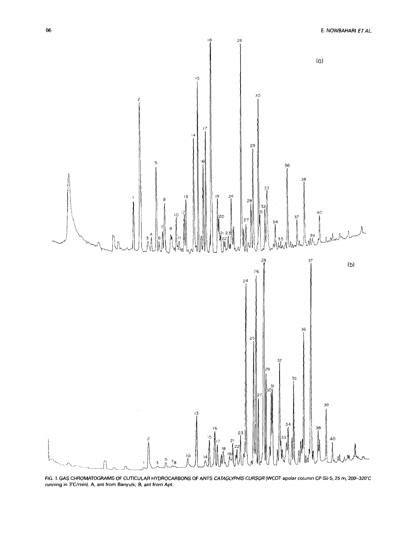



FIG. 1. GAS CHROMATOGRAMS OF CUTICULAR HYDROCARBONS OF ANTS *CATAGLYPHIS CURSOR* (WCOT apolar column CP-Sil-5, 25 m, 200–320°C<br>running in 3°C/min). A, ant from Banyuls; B, ant from Apt.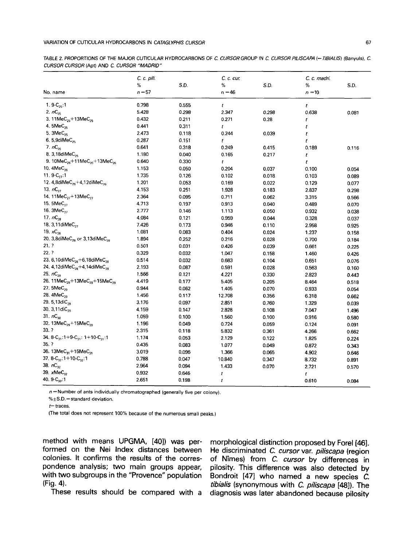67

TABLE 2. PROPORTIONS OF THE MAJOR CUTICULAR HYDROCARBONS OF C *CURSOR GROUP* IN *C CURSOR PILISCAPA (~ TIBIALIS)* (Banyuls), C. *CURSOR CURSOR* (Apt) AND *C CURSOR "MADRID"* 

|                                                                        | C. c. pili. |       | C. c. cur. |       | C. c. madri. |       |
|------------------------------------------------------------------------|-------------|-------|------------|-------|--------------|-------|
|                                                                        | %           | S.D.  | %          | S.D.  | %            | S.D.  |
| No. name                                                               | $n = 57$    |       | $n = 46$   |       | $n = 10$     |       |
| 1.9- $C_{25}$ .1                                                       | 0.798       | 0.555 | t          |       | t            |       |
| 2. $nC_{25}$                                                           | 5.428       | 0.298 | 2.347      | 0.298 | 0.638        | 0.081 |
| 3. 11MeC <sub>25</sub> +13MeC <sub>25</sub>                            | 0.432       | 0.211 | 0.271      | 0.28  | t            |       |
| 4. $5MeC_{25}$                                                         | 0.441       | 0.311 | t          |       | t            |       |
| 5. 3MeC <sub>25</sub>                                                  | 2.473       | 0.118 | 0.244      | 0.039 | t            |       |
| 6. 5,9diMeC <sub>25</sub>                                              | 0.287       | 0.151 | t          |       | t            |       |
| 7. $nC_{26}$                                                           | 0.641       | 0.318 | 0.249      | 0.415 | 0.189        | 0.116 |
| 8. 3,18diMeC <sub>25</sub>                                             | 1.180       | 0.040 | 0.165      | 0.217 | $\dot{t}$    |       |
| 9. 10MeC <sub>26</sub> +11MeC <sub>26</sub> +13MeC <sub>26</sub>       | 0.640       | 0.330 | t          |       | t            |       |
| 10. $4MeC_{26}$                                                        | 1.153       | 0.050 | 0.204      | 0.037 | 0.100        | 0.054 |
| 11. $9-C_{27}$ :1                                                      | 1.735       | 0.126 | 0.102      | 0.018 | 0.103        | 0.089 |
| 12. $4,8$ diMe $C_{26}+4,12$ diMe $C_{26}$                             | 1.201       | 0.053 | 0.169      | 0.022 | 0.129        | 0.077 |
| 13. $nC_{27}$                                                          | 4.153       | 0.251 | 1.928      | 0.183 | 2.837        | 0.298 |
| 14. 11 $MeC_{22}$ + 13 $MeC_{22}$                                      | 2.364       | 0.095 | 0.711      | 0.062 | 3.315        | 0.566 |
| 15. 5MeC <sub>27</sub>                                                 | 4.713       | 0,197 | 0.913      | 0.040 | 0.489        | 0.070 |
| 16. $3MeC_{27}$                                                        | 2.777       | 0.146 | 1.113      | 0.050 | 0.932        | 0.038 |
| 17. $nC_{28}$                                                          | 4.084       | 0.121 | 0.959      | 0.044 | 0.328        | 0.037 |
| 18. 3,11 diMeC <sub>27</sub>                                           | 7.426       | 0.173 | 0.946      | 0.110 | 2.958        | 0.925 |
| 19. $\times C_{28}$                                                    | 1.081       | 0.083 | 0.404      | 0.024 | 1.237        | 0.158 |
| 20. 3,8diMeC <sub>28</sub> or 3,13diMeC <sub>28</sub>                  | 1.894       | 0.252 | 0.216      | 0.028 | 0.700        | 0.184 |
| 21.7                                                                   | 0.501       | 0.031 | 0.426      | 0.039 | 0.661        | 0.225 |
| 22.7                                                                   | 0.329       | 0.032 | 1.047      | 0.158 | 1.460        | 0.426 |
| 23. 6,10diMe $C_{28}+6$ ,18diMe $C_{28}$                               | 0.514       | 0.032 | 0.683      | 0.104 | 0.651        | 0.076 |
| 24. 4,12diMeC <sub>28</sub> +4,14diMeC <sub>28</sub>                   | 2.193       | 0.087 | 0.591      | 0.028 | 0.563        | 0.160 |
| 25. $nC_{29}$                                                          | 1.566       | 0.121 | 4.221      | 0.330 | 2.823        | 0.443 |
| 26. 11MeC <sub>29</sub> +13MeC <sub>29</sub> +15MeC <sub>29</sub>      | 4.419       | 0.177 | 5.405      | 0.205 | 8.464        | 0.518 |
| 27. 5MeC <sub>29</sub>                                                 | 0.944       | 0.062 | 1.405      | 0.070 | 0.933        | 0.054 |
| 28. 4MeC <sub>29</sub>                                                 | 1.456       | 0.117 | 12.708     | 0.356 | 6.318        | 0.662 |
| 29. 5,13diC <sub>29</sub>                                              | 3.176       | 0.097 | 2.851      | 0.760 | 1.329        | 0.039 |
| 30. 3,11diC <sub>29</sub>                                              | 4.159       | 0.147 | 2.828      | 0.108 | 7.047        | 1.496 |
| 31. $nC_{30}$                                                          | 1.059       | 0.100 | 1.560      | 0.100 | 0.916        | 0.580 |
| 32. 13MeC <sub>29</sub> +15MeC <sub>29</sub>                           | 1.196       | 0.049 | 0.724      | 0.059 | 0.124        | 0.091 |
| 33.7                                                                   | 2.315       | 0.118 | 5.832      | 0.361 | 4.266        | 0.662 |
| 34. 8-C <sub>31</sub> : 1+9-C <sub>31</sub> : 1+10-C <sub>31</sub> : 1 | 1.174       | 0.053 | 2.129      | 0.122 | 1.825        | 0.224 |
| 35. ?                                                                  | 0.435       | 0.083 | 1.077      | 0.049 | 0.872        | 0.343 |
| 36. 13MeC <sub>31</sub> +15MeC <sub>31</sub>                           | 3.019       | 0.096 | 1.366      | 0.065 | 4.902        | 0.646 |
| 37. 8- $C_{32}$ : 1+10- $C_{32}$ : 1                                   | 0.788       | 0.047 | 10.840     | 0.347 | 8.732        | 0.891 |
| 38. $nC_{32}$                                                          | 2.964       | 0.094 | 1.433      | 0.070 | 2.721        | 0.570 |
| 39. xMeC <sub>32</sub>                                                 | 0.932       | 0.646 | t          |       | t            |       |
| 40. $9 - C_{33}$ : 1                                                   | 2.651       | 0.198 | t          |       | 0.610        | 0.084 |

n = **Number of ants individually chromatographed** (generally five **per colony).** 

%\_+S.D.= **standard deviation.** 

**t=traces.** 

(The total does **not represent 100% because of the numerous small** peaks.)

**method with means UPGMA, [40]) was performed on the Nei Index distances between colonies. It confirms the results of the correspondence analysis; two main groups appear, with two subgroups in the "Provence" population (Fig. 4).** 

**These results should be compared with a** 

**morphological distinction proposed by Forel [46]. He discriminated C.** *cursor* **var.** *piliscapa* **(region of N~mes) from** *C. cursor* **by differences in pilosity. This difference was also detected by Bondroit [47] who named a new species C.**  *tibialis* **(synonymous with** *C. piliscapa* **[48]). The diagnosis was later abandoned because pilosity**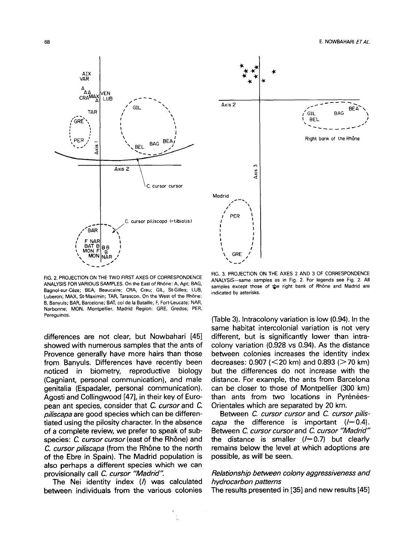

FIG. 2. PROJECTION ON THE TWO FIRST AXES OF CORRESPONDENCE ANALYSIS FOR VARIOUS SAMPLES, On **the East of Rh6ne:** A, Apt; BAG, Bagnol-sur-Ceze; BEA, Beaucaire; CRA, Crau; GIL, St-Gilles; LUB, **Luberon; MAX, St-Maximin; TAR, Tarascon. On the West of the Rh6ne:**  B, Banyuls; BAR, Barcelone; BAT, **col de la Bataille; F, Fort-Leucate;** NAR, **Narbonne; MON, Montpellier. Madrid Region: GRE, Gredos;** PER, **Pereguinos.** 

**differences are not clear, but Nowbahari [45] showed with numerous samples that the ants of Provence generally have more hairs than those from Banyuls. Differences have recently been noticed in biometry, reproductive biology (Cagniant, personal communication), and male genitalia (Espadaler, personal communication). Agosti and Collingwood [47], in their key of European ant species, consider that C.** *cursor* **and C.**  *piliscapa* **are good species which can be differentiated using the pilosity character. In the absence of a complete review, we prefer to speak of subspecies:** *C. cursor cursor* **(east of the Rh6ne) and**  *C. cursor piliscapa* **(from the Rhbne to the north of the Ebre in Spain). The Madrid population is also perhaps a different species which we can provisionally call** *C. cursor "Madrid"* 

**The Nei identity index (/) was calculated between individuals from the various colonies** 



FIG. 3. PROJECTION ON THE AXES 2 AND 3 OF CORRESPONDENCE ANALYSIS--same **samples as in** Fig. 2. **For legends see** Fig. 2. **All**  samples except those of the right bank of Rhône and Madrid are **indicated by asterisks.** 

**(Table 3). Intracolony variation is low (0.94). In the same habitat intercolonial variation is not very different, but is significantly lower than intracolony variation (0.928 vs 0.94). As the distance between colonies increases the identity index decreases: 0.907 (<20 km) and 0.893 (>70 km) but the differences do not increase with the distance. For example, the ants from Barcelona can be closer to those of Montpellier (300 km)**  than ants from two locations in Pyrénées-**Orientales which are separated by 20 km.** 

**Between C.** *cursor cursor* **and** *C. cursor piliscapa* the difference is important  $(/-0.4)$ . **Between** *C. cursor cursorand C. cursor "Madrid"*  the distance is smaller  $(/-0.7)$  but clearly **remains below the level at which adoptions are possible, as will be seen.** 

# *Relationship between colony aggressiveness and hydrocarbon patterns*

**The results presented in [35] and new results [45]**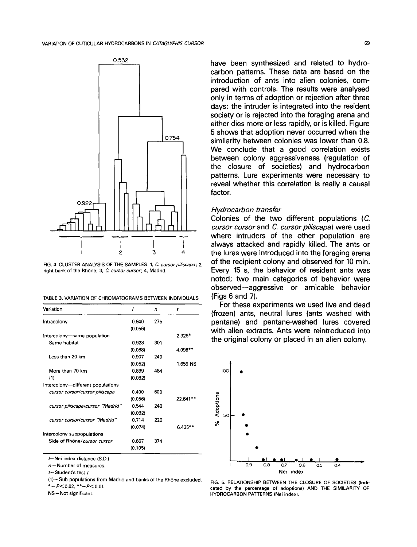

FIG. 4. CLUSTER ANALYSIS OF THE SAMPLES. 1, C. cursor piliscapa; 2, **right bank of the Rhbne;** 3, C. *cursor cursor;* **4, Madrid.** 

TABLE 3. VARIATION OF CHROMATOGRAMS BETWEEN INDIVIDUALS

| Variation                         |         | n   | t         |
|-----------------------------------|---------|-----|-----------|
| Intracolony                       | 0.940   | 275 |           |
|                                   | (0.056) |     |           |
| Intercolony-same population       |         |     | 2.326*    |
| Same habitat                      | 0.928   | 301 |           |
|                                   | (0.068) |     | 4.098**   |
| Less than 20 km                   | 0.907   | 240 |           |
|                                   | (0.052) |     | 1.659 NS  |
| More than 70 km                   | 0.899   | 484 |           |
| (1)                               | (0.082) |     |           |
| Intercolony-different populations |         |     |           |
| cursor cursor/cursor piliscapa    | 0.400   | 600 |           |
|                                   | (0.056) |     | 22.641**  |
| cursor piliscapa/cursor "Madrid"  | 0.544   | 240 |           |
|                                   | (0.092) |     |           |
| cursor cursor/cursor "Madrid"     | 0.714   | 220 |           |
|                                   | (0.074) |     | $6.435**$ |
| Intercolony subpopulations        |         |     |           |
| Side of Rhône/cursor cursor       | 0.667   | 374 |           |
|                                   | (0.105) |     |           |

/=Nei **index distance** (S.D.).

n = **Number of measures.** 

*t=Student's* **test** t.

 $(1)$  = Sub populations from Madrid and banks of the Rhône excluded. *\*=P<O.02,* \*\*=P<0.Ol.

NS-- **Not significant.** 

**have been synthesized and related to hydrocarbon patterns. These data are based on the introduction of ants into alien colonies, compared with controls. The results were analysed only in terms of adoption or rejection after three days: the intruder is integrated into the resident society or is rejected into the foraging arena and either dies more or less rapidly, or is killed. Figure 5 shows that adoption never occurred when the similarity between colonies was lower than 0.8. We conclude that a good correlation exists between colony aggressiveness (regulation of the closure of societies) and hydrocarbon patterns. Lure experiments were necessary to reveal whether this correlation is really a causal factor.** 

# *Hydrocarbon transfer*

**Colonies of the two different populations (C.**  *cursor cursor* **and** *C. cursor piliscapa)* **were used where intruders of the other population are always attacked and rapidly killed. The ants or the lures were introduced into the foraging arena**  of the recipient colony and observed for 10 min. **Every 15 s, the behavior of resident ants was noted; two main categories of behavior were observed--aggressive or amicable behavior (Figs 6 and 7).** 

**For these experiments we used live and dead (frozen) ants, neutral lures (ants washed with pentane) and pentane-washed lures covered with alien extracts. Ants were reintroduced into the original colony or placed in an alien colony.** 



FIG. 5. RELATIONSHIP BETWEEN THE CLOSURE OF SOCIETIES (Indicated **by the percentage of adoptions)** AND THE SIMILARITY OF HYDROCARBON PATTERNS (Nei **index).**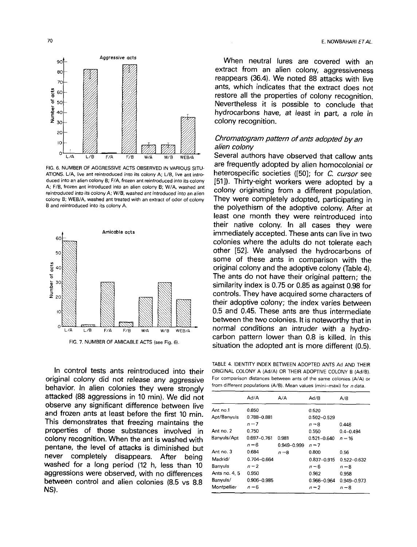

FIG. 6. NUMBER OF AGGRESSIVE ACTS OBSERVED IN VARIOUS SITU-ATIONS, *L/A,* live ant reintroduced into its colony A; L/B, live ant introduced into an alien colony B; F/A, frozen ant reintroduced into its colony A; F/B, frozen ant introduced into an alien colony B; W/A, washed ant *reintroduced* into *its colony A;* W/B, washed ant *introduced into an alien*  colony B; WEB/A, washed ant treated with an extract of odor of colony B and reintroduced into its colony A.



In control tests ants reintroduced into their original colony did not release any aggressive behavior. In alien colonies they were strongly attacked (88 aggressions in 10 min). We did not observe any significant difference between live and frozen ants at least before the first 10 min. This demonstrates that freezing maintains the properties of those substances involved in colony recognition. When the ant is washed with pentane, the level of attacks is diminished but never completely disappears. After being washed for a long period (12 h, less than 10 aggressions were observed, with no differences between control and alien colonies (8.5 vs 8.8 NJC). Montpellier and the control of the control of the control of the control of the control of the control of the control of the control of the control of the control of the control of the control of the control of the c

When neutral lures are covered with an extract from an alien colony, aggressiveness reappears (36.4). We noted 88 attacks with live ants, which indicates that the extract does not restore all the properties of colony recognition. Nevertheless it is possible to conclude that hydrocarbons have, at least in part, a role in colony recognition.

# *Chromatogram pattern of ants adopted by an alien colony*

Several authors have observed that callow ants are frequently adopted by alien homocolonial or heterospecific societies ([50]; for *C. cursor* see [51]). Thirty-eight workers were adopted by a colony originating from a different population. They were completely adopted, participating in the polyethism of the adoptive colony. After at least one month they were reintroduced into their native colony. In all cases they were immediately accepted. These ants can live in two colonies where the adults do not tolerate each other [52]. We analysed the hydrocarbons of some of these ants in comparison with the original colony and the adoptive colony (Table 4). The ants do not have their original pattern; the similarity index is 0.75 or 0.85 as against 0.98 for controls. They have acquired some characters of their adoptive colony; the index varies between 0.5 and 0.45. These ants are thus intermediate between the two colonies. It is noteworthy that in normal conditions an intruder with a hydrocarbon pattern lower than 0,8 is killed. In this situation the adopted ant is more different (0.5).

TABLE 4. IDENTITY INDEX BETWEEN ADOPTED ANTS Ad AND THEIR ORIGINAL COLONY A (Ad/A) OR THEIR ADOPTIVE COLONY B (Ad/B). For comparison distances between ants of the same colonies (A/A) or from different populations (A/B). Mean values (mini-maxi) for  $n$  data.

|               | Ad/A            | A/A         | Ad/B            | A/B           |
|---------------|-----------------|-------------|-----------------|---------------|
| Ant no.1      | 0.850           |             | 0.520           |               |
| Apt/Banyuls   | 0.788-0.881     |             | 0.502-0.529     |               |
|               | $n=7$           |             | $n = 8$         | 0.448         |
| Ant no. 2     | 0.750           |             | 0.550           | $0.4 - 0.494$ |
| Banyuls/Apt   | $0.697 - 0.761$ | 0.981       | 0.521-0.640     | $n = 16$      |
|               | $n = 6$         | 0.949-0.999 | $n = 7$         |               |
| Ant no. 3     | 0.684           | $n=8$       | 0.800           | 0.56          |
| Madrid/       | $0.704 - 0.664$ |             | $0.837 - 0.915$ | 0.522-0.632   |
| Banvuls       | $n = 2$         |             | $n = 6$         | $n = 8$       |
| Ants no. 4, 5 | 0.950           |             | 0.962           | 0.958         |
| Banyuls/      | $0.906 - 0.985$ |             | 0.966-0.964     | 0.949-0.973   |
| Montpellier   | $n = 6$         |             | $n = 2$         | $n - 8$       |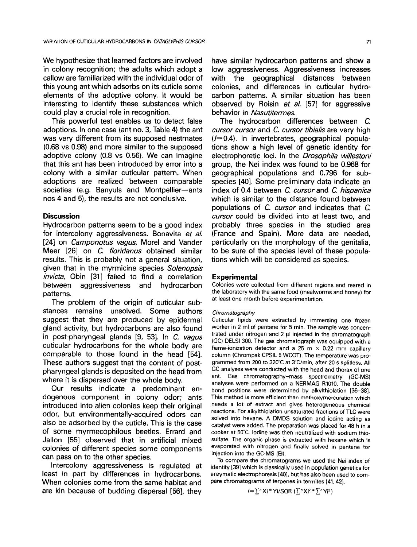We hypothesize that learned factors are involved in colony recognition; the adults which adopt a callow are familiarized with the individual odor of this young ant which adsorbs on its cuticle some elements of the adoptive colony. It would be interesting to identify these substances which could play a crucial role in recognition.

This powerful test enables us to detect false adoptions. In one case (ant no. 3, Table 4) the ant was very different from its supposed nestmates (0.68 vs 0.98) and more similar to the supposed adoptive colony (0.8 vs 0.56). We can imagine that this ant has been introduced by error into a colony with a similar cuticular pattern. When adoptions are realized between comparable societies (e.g. Banyuls and Montpellier-ants nos 4 and 5), the results are not conclusive.

# **Discussion**

Hydrocarbon patterns seem to be a good index for intercolony aggressiveness. Bonavita *et al.*  [24] on *Camponotus vagus,* Morel and Vander Meer [26] on *C. floridanus* obtained similar results. This is probably not a general situation, given that in the myrmicine species *Solenopsis invicta,* Obin [31] failed to find a correlation between aggressiveness and hydrocarbon patterns.

The problem of the origin of cuticular substances remains unsolved. Some authors suggest that they are produced by epidermal gland activity, but hydrocarbons are also found in post-pharyngeal glands [9, 53]. In *C. vagus*  cuticular hydrocarbons for the whole body are comparable to those found in the head [54]. These authors suggest that the content of postpharyngeal glands is deposited on the head from where it is dispersed over the whole body.

Our results indicate a predominant endogenous component in colony odor; ants introduced into alien colonies keep their original odor, but environmentally-acquired odors can also be adsorbed by the cuticle. This is the case of some myrmecophilous beetles. Errard and Jallon [55] observed that in artificial mixed colonies of different species some components can pass on to the other species.

Intercolony aggressiveness is regulated at least in part by differences in hydrocarbons. When colonies come from the same habitat and are kin because of budding dispersal [56], they

have similar hydrocarbon patterns and show a low aggressiveness. Aggressiveness increases with the geographical distances between colonies, and differences in cuticular hydrocarbon patterns. A similar situation has been observed by Roisin *et al.* [57] for aggressive behavior in *Nasutitermes.* 

The hydrocarbon differences between C. *cursor cursor* and *C. cursor tibialis* are very high  $(-0.4)$ . In invertebrates, geographical populations show a high level of genetic identity for electrophoretic loci. In the *Drosophila willestoni*  group, the Nei index was found to be 0.968 for geographical populations and 0.796 for subspecies [40]. Some preliminary data indicate an index of 0.4 between C. *cursor* and *C. hispanica*  which is similar to the distance found between populations of *C. cursor* and indicates that C. *cursor* could be divided into at least two, and probably three species in the studied area (France and Spain). More data are needed, particularly on the morphology of the genitalia, to be sure of the species level of these populations which will be considered as species.

### **Experimental**

Colonies were collected from different regions and reared in the laboratory with the same food (mealworms and honey) for at least one month before experimentation.

### *Chromatography*

Cuticular lipids were extracted by immersing one frozen worker in 2 ml of pentane for 5 min. The sample was concentrated under nitrogen and 2  $\mu$ I injected in the chromatograph (GC) DELSI 300. The gas chromatograph was equipped with a flame-ionization detector and a 25 m  $\times$  0.22 mm capillary column (Chrompak CPSIL 5 WCOT). The temperature was programmed from 200 to 320°C at 3°C/min, after 20 s splitless. All GC analyses were conducted with the head and thorax of one ant. Gas chromatography-mass spectrometry (GC-MS) analyses were performed on a NERMAG R1010. The double bond positions were determined by alkylthiolation [36-38]. This method is more efficient than methoxymercuration which needs a lot of extract and gives heterogeneous chemical reactions. For alkylthiolation unsaturated fractions of TLC were solved into hexane. A DMDS solution and iodine acting as catalyst were added. The preparation was placed for 48 h in a cooker at 50°C, Iodine was then neutralized with sodium thiosulfate. The organic phase is extracted with hexane which is evaporated with nitrogen and finally solved in pentane for injection into the GC-MS (El).

To compare the chromatograms we used the Nei index of identity [39] which is classically used in population genetics for enzymatic electrophoresis [40], but has also been used to compare chromatograms of terpenes in termites [41, 42].

$$
I = \sum^n X_i * Y_i/SQR (\sum^n X_i^2 * \sum^n Y_i^2)
$$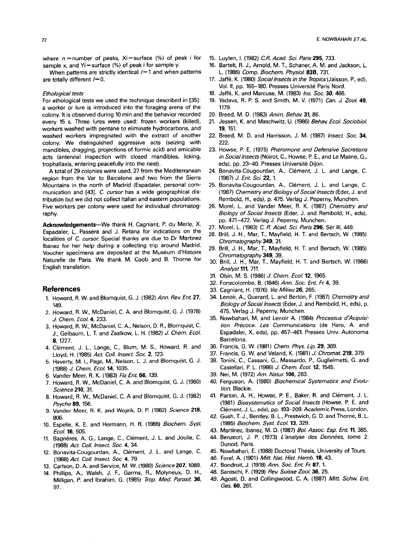where  $n =$ number of peaks, Xi=surface (%) of peak i for sample x, and  $Yi$ = surface (%) of peak i for sample y.

When patterns are strictly identical  $/ = 1$  and when patterns are totally different  $/-0$ .

#### *Ethological tests*

For ethological tests we used the technique described in [35]: a worker or lure is introduced into the foraging arena of the colony. It is observed during 10 min and the behavior recorded every 15 s. Three lures were used: frozen workers (killed), workers washed with pentane to eliminate hydrocarbons, and washed workers impregnated with the extract of another colony. We distinguished aggressive acts (seizing with mandibles, dragging, projections of formic acid) and amicable acts (antennal inspection with closed mandibles, licking, trophallaxis, entering peacefully into the nest).

A total of 29 colonies were used, 27 from the Mediterranean region from the Var to Barcelone and two from the Sierra Mountains in the north of Madrid (Espadaler, personal communication and [43]. C. *cursor* has a wide geographical distribution but we did not collect Italian and eastern populations. Five workers per colony were used for individual chromatography.

**Acknowledgements--We** thank H. Cagniant, P. du Merle, X. Espadaler, L. Passera and J. Retana for indications on the localities of C. *cursor.* Special thanks are due to Dr Martinez Ibanez for her help during a *collecting* trip around Madrid. Voucher specimens are deposited at the Muséum d'Histoire Naturelle de Paris. We thank M. Coob and B. Thorne for English translation.

### **References**

- 1. Howard, R. W. and Blomquist, G. J. (1982) *Ann. Rev Ent.* 27, 149.
- 2. Howard, R. W., McDaniel, C. A. and Blomquist, G. J. (1978) *J. Chem. Ecol.* 4, 233.
- 3. Howard, R. W., McDaniel, C. A., Nelson, D. R., Blomquist, C. J., Gelbaum, L. T. and Zaalkow, L. H. (1982) J. *Chem. Ecol.*  8, 1227.
- 4. Clément, J. L., Lange, C., Blum, M. S., Howard, R. and Lloyd, H. (1985) *Act. Coll. Insect. Soc.* 2, 123.
- 5. Haverty, M. I., Page, M, Nelson, L. J. and Blomquist, G. J. (1988) *J. Chem. Ecol.* 14, 1035.
- 6. Vander Meer, R. K. (1983) *Fla Ent.* 66, 139.
- 7. Howard, R. W., McDaniel, C. A. and Blomquist, G. J. (1980) *Science* 210, 31.
- 8. Howard, R. W., McDaniel, C. A and Blomquist, G. J. (1982) *Psyche* 89, 156.
- 9. Vander Meer, R. K. and Wojeik, D. P. (1982) *Science* **218,**  806.
- 10. Espelie, K. E. and Hermann, H. R. (1988) *Biochem. Syst. Ecol.* 16, 505.
- 11. Bagnères, A. G., Lange, C., Clément, J. L. and Joulie, C. (1988) *Act. Coll. Insect. Soc. 4,* 34.
- 12. Bonavita-Cougourdan, A., Clément, J. L. and Lange, C. (1988) *Act. Coil. Insect. Soc.* 4, 79.
- 13. Carlson, D. A. and Service, M. W. (1980) *Science207,* 1089.
- 14. Phillips, A., Walsh, J. F., Garms, R., Molyneux, D. H., Milligan, P. and Ibrahim, G. (1985) *Trop. Med. Parasit.* **36,**  97.
- 15. Luyten, I. (1982) *C.R. Acad. Sct~ Paris* 295, 733.
- 16. Bartelt, R. J., Arnold, M. T., Schaner, A. M. and Jackson, L. L. (1986) *Comp. Biochem. Physiol.* **83B,** 731.
- 17. Jaffe, K. (1980) *Social lnsects in the Tropics(Jaisson,* P., ed), Vol. II, pp. 165-180. Presses Université Paris Nord.
- 18. Jaffe, K. and Marcuse, M. (1983) *Ins. Soc.* 30, 466.
- 19. Yadava, R. P. S. and Smith, M. V. (1971) *Can. J. Zool.* **49,**  1179.
- 20. Breed, M. D. (1983) *Anim. Behav.* 31, 86.
- 21. Jessen, K. and Maschwitz, U. (1986) *Behav. Ecol. Sociobiol.*  **19,** 151.
- 22. Breed, M. D. and Harrisson, J. M. (1987) *Insect. Soc.* 34, 222.
- 23. Howse, P. E. (1975) *Pheromone and Defensive Secretions in Social Insects* (Noirot, C., Howse, P. E., and Le Masne, G., eds), pp. 23-40. Presses Université Dijon.
- 24. Bonavita-Cougourdan, A., CI6ment, J. L. and Lange, C. (1987) *J. Ent. Sci.* 22, 1.
- 25. Bonavita-Cougourdan, A., CI6ment, J. L. and Lange, C. (1987) *Chemistry and Biology of Social Insects* (Eder, J. and Rembold, H., eds), p. 475. Verlag J. Peperny, Munchen.
- 26. Morel, L. and Vander Meer, R. K. (1987) *Chemistry and Biology of Social Insects* (Eder, J. and Rembold, H., eds), pp. 471-472. Verlag J. Peperny, Munchen.
- 27. Morel, L. (1983) *C R. Acad. Sci. Paris* 296, Ser III, 449.
- 28. Brill, J. H., Mar, T., Mayfield, H. T. and Bertsch, W. (1985) *Chromatography* 349, 31.
- 29. Brill, J. H., Mar, T., Mayfield, H. T. and Bertsch, W. (1985) *Chromatography* 349, 39.
- 30. Brill, J. H., Mar, T., Mayfield, H. T. and Bertsch, W. (1986) *Analyst* 111, 711.
- 31. Obin, M. S. (1986) *J. Chem. Ecol.* 12, 1965.
- 32. Fonscolombe, B. (1846) *Ann. Soc. Ent. Fr. 4,* 39.
- 33. Cagniant, H. (1976) *Vie Milieu26,* 265,
- 34. Lenoir, A., Querard, L. and Berton, F. (1987) *Chemistry and Biology of Social Insects* (Eder, J. and Rembold, H., eds), p. 475. Verlag J. Peperny, Munchen.
- 35. Nowbahari, M. and Lenoir A. (1984) *Processus d'Acquisition Precoce. Les Communications* (de Haro, A. and Espadaler, X, eds), pp. 457-461. Presses Univ. Autonoma Barcelona.
- 36. Francis, G. W. (1981) *Chem. Phys. Lip.* 29, 369.
- 37. Francis, G. W. and Veland, K. (1981) J. *Chromat.* 219, 379.
- 38. Tonini, C., Cassani, G., Massardo, P., Guglielmetti, G. and Castellari, P. L. (1986) *J. Chem. Ecol.* 12, 1545.
- 39. Nei, M. (1972) *Am. Natur* 106, 283.
- 40. Ferguson, A. (1980) *Biochemical Systematics and Evolution.* Blackie.
- 41. Parton, A. H., Howse, P. E., Baker, R. and Clément, J. L. (1981) *Biosystematics of Social Insects* (Howse, P. E. and Clément, J. L., eds), pp. 193-209. Academic Press, London.
- 42. Gush, T. J., Bentley, B. L., Prestwich, G. D. and Thorne, B. L, (1985) *Biochem. Syst. Ecol.* 13, 329.
- 43. Martinez, Ibanez, M. D. (1987) *Bol. Assoc. Esp. Ent.* 11, 385.
- 44. Benzecri, J. P. (1973) *L'analyse des Données*, tome 2. Dunod, Paris.
- 45. Nowbahari, E. (1988) Doctoral Thesis, University of Tours.
- 46. Forel, A. (1901) *Mitt. Nat. Hist. Hamb.* 18, 43.
- 47. Bondroit, J. (1918) *Ann. Soc. Ent. Ft.* 87, 1.
- 46. Santschi, F. (1929) *Rev. Suisse Zool.* 35, 25.
- 49. Agosti, D. and Collingwood, C. A. (1987) *Mitt. Schw. Ent. Ges.* 60, 261.